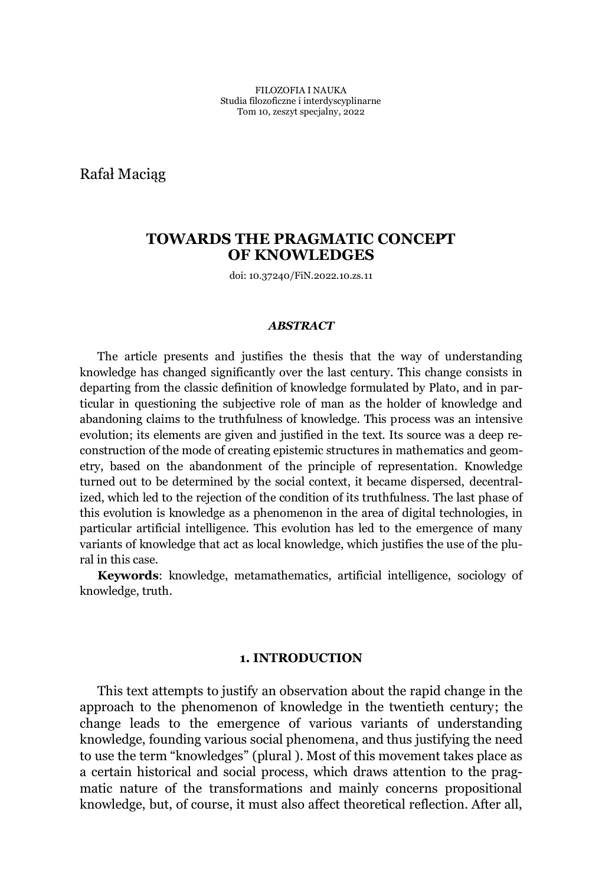Rafał Maciag

# **TOWARDS THE PRAGMATIC CONCEPT OF KNOWLEDGES**

doi: 10.37240/FiN.2022.10.zs.11

### *ABSTRACT*

The article presents and justifies the thesis that the way of understanding knowledge has changed significantly over the last century. This change consists in departing from the classic definition of knowledge formulated by Plato, and in particular in questioning the subjective role of man as the holder of knowledge and abandoning claims to the truthfulness of knowledge. This process was an intensive evolution; its elements are given and justified in the text. Its source was a deep reconstruction of the mode of creating epistemic structures in mathematics and geometry, based on the abandonment of the principle of representation. Knowledge turned out to be determined by the social context, it became dispersed, decentralized, which led to the rejection of the condition of its truthfulness. The last phase of this evolution is knowledge as a phenomenon in the area of digital technologies, in particular artificial intelligence. This evolution has led to the emergence of many variants of knowledge that act as local knowledge, which justifies the use of the plural in this case.

**Keywords**: knowledge, metamathematics, artificial intelligence, sociology of knowledge, truth.

### **1. INTRODUCTION**

This text attempts to justify an observation about the rapid change in the approach to the phenomenon of knowledge in the twentieth century; the change leads to the emergence of various variants of understanding knowledge, founding various social phenomena, and thus justifying the need to use the term "knowledges" (plural ). Most of this movement takes place as a certain historical and social process, which draws attention to the pragmatic nature of the transformations and mainly concerns propositional knowledge, but, of course, it must also affect theoretical reflection. After all,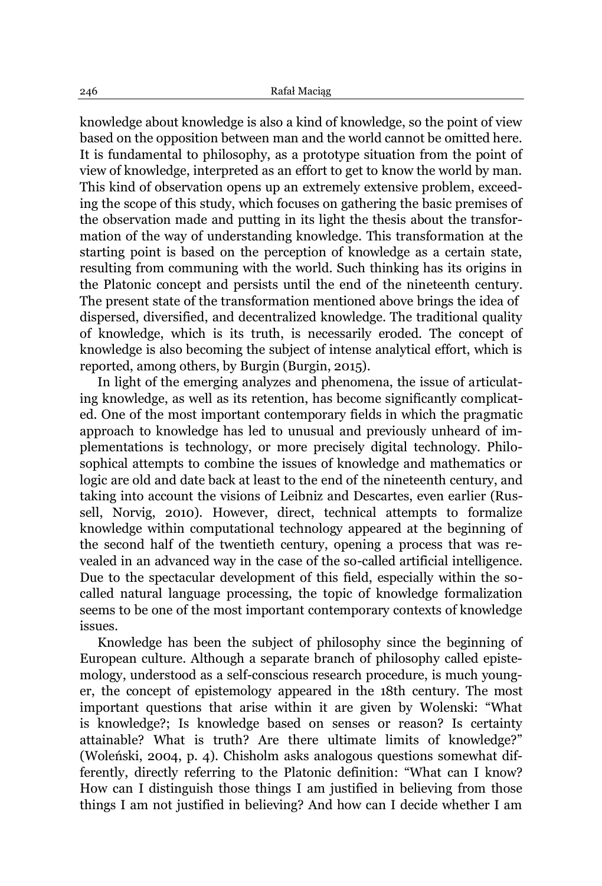knowledge about knowledge is also a kind of knowledge, so the point of view based on the opposition between man and the world cannot be omitted here. It is fundamental to philosophy, as a prototype situation from the point of view of knowledge, interpreted as an effort to get to know the world by man. This kind of observation opens up an extremely extensive problem, exceeding the scope of this study, which focuses on gathering the basic premises of the observation made and putting in its light the thesis about the transformation of the way of understanding knowledge. This transformation at the starting point is based on the perception of knowledge as a certain state, resulting from communing with the world. Such thinking has its origins in the Platonic concept and persists until the end of the nineteenth century. The present state of the transformation mentioned above brings the idea of dispersed, diversified, and decentralized knowledge. The traditional quality of knowledge, which is its truth, is necessarily eroded. The concept of knowledge is also becoming the subject of intense analytical effort, which is reported, among others, by Burgin (Burgin, 2015).

In light of the emerging analyzes and phenomena, the issue of articulating knowledge, as well as its retention, has become significantly complicated. One of the most important contemporary fields in which the pragmatic approach to knowledge has led to unusual and previously unheard of implementations is technology, or more precisely digital technology. Philosophical attempts to combine the issues of knowledge and mathematics or logic are old and date back at least to the end of the nineteenth century, and taking into account the visions of Leibniz and Descartes, even earlier (Russell, Norvig, 2010). However, direct, technical attempts to formalize knowledge within computational technology appeared at the beginning of the second half of the twentieth century, opening a process that was revealed in an advanced way in the case of the so-called artificial intelligence. Due to the spectacular development of this field, especially within the socalled natural language processing, the topic of knowledge formalization seems to be one of the most important contemporary contexts of knowledge issues.

Knowledge has been the subject of philosophy since the beginning of European culture. Although a separate branch of philosophy called epistemology, understood as a self-conscious research procedure, is much younger, the concept of epistemology appeared in the 18th century. The most important questions that arise within it are given by Wolenski: "What is knowledge?; Is knowledge based on senses or reason? Is certainty attainable? What is truth? Are there ultimate limits of knowledge?" (Woleński, 2004, p. 4). Chisholm asks analogous questions somewhat differently, directly referring to the Platonic definition: "What can I know? How can I distinguish those things I am justified in believing from those things I am not justified in believing? And how can I decide whether I am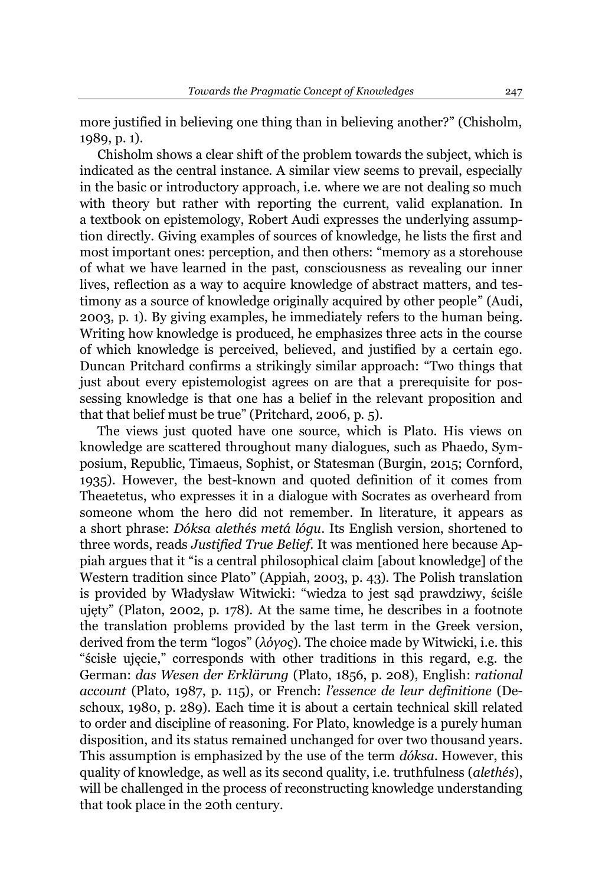more justified in believing one thing than in believing another?" (Chisholm, 1989, p. 1).

Chisholm shows a clear shift of the problem towards the subject, which is indicated as the central instance. A similar view seems to prevail, especially in the basic or introductory approach, i.e. where we are not dealing so much with theory but rather with reporting the current, valid explanation. In a textbook on epistemology, Robert Audi expresses the underlying assumption directly. Giving examples of sources of knowledge, he lists the first and most important ones: perception, and then others: "memory as a storehouse of what we have learned in the past, consciousness as revealing our inner lives, reflection as a way to acquire knowledge of abstract matters, and testimony as a source of knowledge originally acquired by other people´ (Audi, 2003, p. 1). By giving examples, he immediately refers to the human being. Writing how knowledge is produced, he emphasizes three acts in the course of which knowledge is perceived, believed, and justified by a certain ego. Duncan Pritchard confirms a strikingly similar approach: "Two things that just about every epistemologist agrees on are that a prerequisite for possessing knowledge is that one has a belief in the relevant proposition and that that belief must be true" (Pritchard, 2006, p.  $5$ ).

The views just quoted have one source, which is Plato. His views on knowledge are scattered throughout many dialogues, such as Phaedo, Symposium, Republic, Timaeus, Sophist, or Statesman (Burgin, 2015; Cornford, 1935). However, the best-known and quoted definition of it comes from Theaetetus, who expresses it in a dialogue with Socrates as overheard from someone whom the hero did not remember. In literature, it appears as a short phrase: *Dóksa alethés metá lógu*. Its English version, shortened to three words, reads *Justified True Belief*. It was mentioned here because Appiah argues that it "is a central philosophical claim [about knowledge] of the Western tradition since Plato" (Appiah, 2003, p. 43). The Polish translation is provided by Władysław Witwicki: "wiedza to jest sąd prawdziwy, ściśle ujety" (Platon, 2002, p. 178). At the same time, he describes in a footnote the translation problems provided by the last term in the Greek version, derived from the term "logos" (λόγος). The choice made by Witwicki, i.e. this " scisle ujecie," corresponds with other traditions in this regard, e.g. the German: *das Wesen der Erklärung* (Plato, 1856, p. 208), English: *rational account* (Plato, 1987, p. 115), or French: *l¶essence de leur definitione* (Deschoux, 1980, p. 289). Each time it is about a certain technical skill related to order and discipline of reasoning. For Plato, knowledge is a purely human disposition, and its status remained unchanged for over two thousand years. This assumption is emphasized by the use of the term *dóksa*. However, this quality of knowledge, as well as its second quality, i.e. truthfulness (*alethés*), will be challenged in the process of reconstructing knowledge understanding that took place in the 20th century.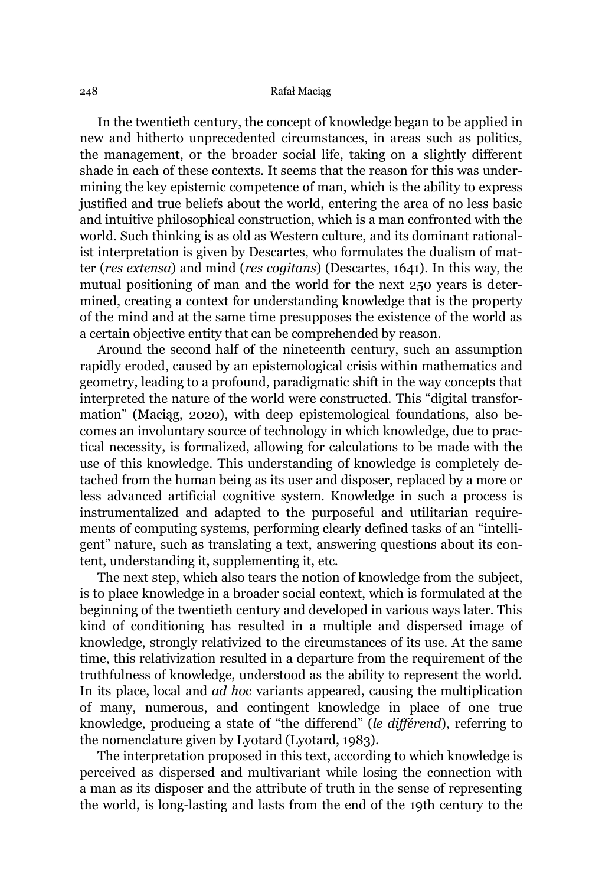In the twentieth century, the concept of knowledge began to be applied in new and hitherto unprecedented circumstances, in areas such as politics, the management, or the broader social life, taking on a slightly different shade in each of these contexts. It seems that the reason for this was undermining the key epistemic competence of man, which is the ability to express justified and true beliefs about the world, entering the area of no less basic and intuitive philosophical construction, which is a man confronted with the world. Such thinking is as old as Western culture, and its dominant rationalist interpretation is given by Descartes, who formulates the dualism of matter (*res extensa*) and mind (*res cogitans*) (Descartes, 1641). In this way, the mutual positioning of man and the world for the next 250 years is determined, creating a context for understanding knowledge that is the property of the mind and at the same time presupposes the existence of the world as a certain objective entity that can be comprehended by reason.

Around the second half of the nineteenth century, such an assumption rapidly eroded, caused by an epistemological crisis within mathematics and geometry, leading to a profound, paradigmatic shift in the way concepts that interpreted the nature of the world were constructed. This "digital transformation" (Maciag, 2020), with deep epistemological foundations, also becomes an involuntary source of technology in which knowledge, due to practical necessity, is formalized, allowing for calculations to be made with the use of this knowledge. This understanding of knowledge is completely detached from the human being as its user and disposer, replaced by a more or less advanced artificial cognitive system. Knowledge in such a process is instrumentalized and adapted to the purposeful and utilitarian requirements of computing systems, performing clearly defined tasks of an "intelligent´ nature, such as translating a text, answering questions about its content, understanding it, supplementing it, etc.

The next step, which also tears the notion of knowledge from the subject, is to place knowledge in a broader social context, which is formulated at the beginning of the twentieth century and developed in various ways later. This kind of conditioning has resulted in a multiple and dispersed image of knowledge, strongly relativized to the circumstances of its use. At the same time, this relativization resulted in a departure from the requirement of the truthfulness of knowledge, understood as the ability to represent the world. In its place, local and *ad hoc* variants appeared, causing the multiplication of many, numerous, and contingent knowledge in place of one true knowledge, producing a state of "the differend" *(le différend)*, referring to the nomenclature given by Lyotard (Lyotard, 1983).

The interpretation proposed in this text, according to which knowledge is perceived as dispersed and multivariant while losing the connection with a man as its disposer and the attribute of truth in the sense of representing the world, is long-lasting and lasts from the end of the 19th century to the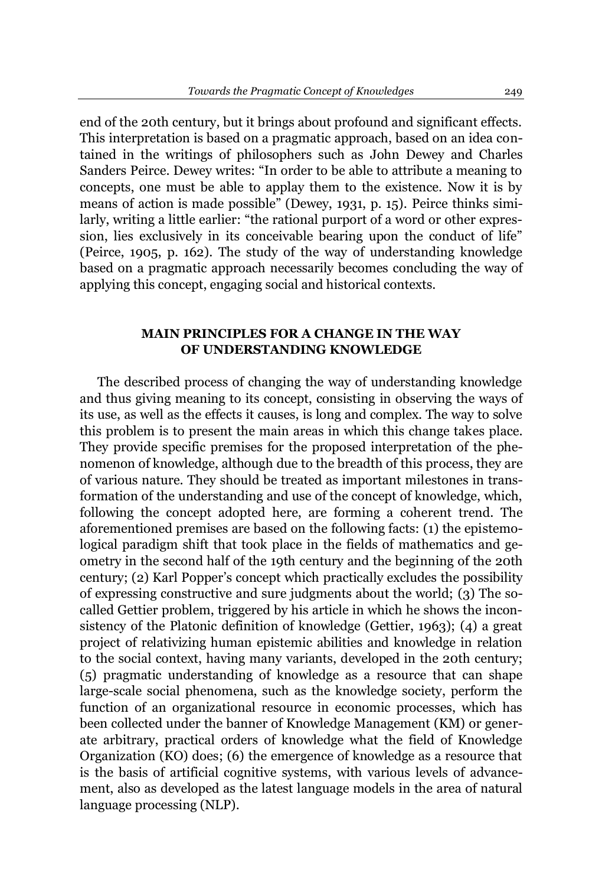end of the 20th century, but it brings about profound and significant effects. This interpretation is based on a pragmatic approach, based on an idea contained in the writings of philosophers such as John Dewey and Charles Sanders Peirce. Dewey writes: "In order to be able to attribute a meaning to concepts, one must be able to applay them to the existence. Now it is by means of action is made possible" (Dewey, 1931, p. 15). Peirce thinks similarly, writing a little earlier: "the rational purport of a word or other expression, lies exclusively in its conceivable bearing upon the conduct of life" (Peirce, 1905, p. 162). The study of the way of understanding knowledge based on a pragmatic approach necessarily becomes concluding the way of applying this concept, engaging social and historical contexts.

## **MAIN PRINCIPLES FOR A CHANGE IN THE WAY OF UNDERSTANDING KNOWLEDGE**

The described process of changing the way of understanding knowledge and thus giving meaning to its concept, consisting in observing the ways of its use, as well as the effects it causes, is long and complex. The way to solve this problem is to present the main areas in which this change takes place. They provide specific premises for the proposed interpretation of the phenomenon of knowledge, although due to the breadth of this process, they are of various nature. They should be treated as important milestones in transformation of the understanding and use of the concept of knowledge, which, following the concept adopted here, are forming a coherent trend. The aforementioned premises are based on the following facts: (1) the epistemological paradigm shift that took place in the fields of mathematics and geometry in the second half of the 19th century and the beginning of the 20th century; (2) Karl Popper's concept which practically excludes the possibility of expressing constructive and sure judgments about the world; (3) The socalled Gettier problem, triggered by his article in which he shows the inconsistency of the Platonic definition of knowledge (Gettier, 1963); (4) a great project of relativizing human epistemic abilities and knowledge in relation to the social context, having many variants, developed in the 20th century; (5) pragmatic understanding of knowledge as a resource that can shape large-scale social phenomena, such as the knowledge society, perform the function of an organizational resource in economic processes, which has been collected under the banner of Knowledge Management (KM) or generate arbitrary, practical orders of knowledge what the field of Knowledge Organization (KO) does; (6) the emergence of knowledge as a resource that is the basis of artificial cognitive systems, with various levels of advancement, also as developed as the latest language models in the area of natural language processing (NLP).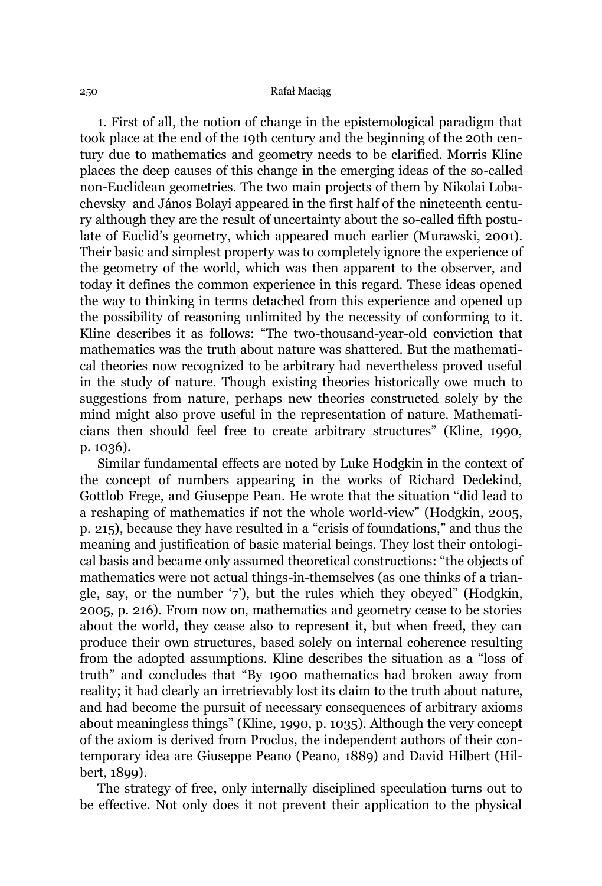1. First of all, the notion of change in the epistemological paradigm that took place at the end of the 19th century and the beginning of the 20th century due to mathematics and geometry needs to be clarified. Morris Kline places the deep causes of this change in the emerging ideas of the so-called non-Euclidean geometries. The two main projects of them by [Nikolai Loba](https://en.wikipedia.org/wiki/Nikolai_Lobachevsky)[chevsky](https://en.wikipedia.org/wiki/Nikolai_Lobachevsky) and János Bolavi appeared in the first half of the nineteenth century although they are the result of uncertainty about the so-called fifth postulate of Euclid's geometry, which appeared much earlier (Murawski, 2001). Their basic and simplest property was to completely ignore the experience of the geometry of the world, which was then apparent to the observer, and today it defines the common experience in this regard. These ideas opened the way to thinking in terms detached from this experience and opened up the possibility of reasoning unlimited by the necessity of conforming to it. Kline describes it as follows: "The two-thousand-year-old conviction that mathematics was the truth about nature was shattered. But the mathematical theories now recognized to be arbitrary had nevertheless proved useful in the study of nature. Though existing theories historically owe much to suggestions from nature, perhaps new theories constructed solely by the mind might also prove useful in the representation of nature. Mathematicians then should feel free to create arbitrary structures" (Kline, 1990, p. 1036).

Similar fundamental effects are noted by Luke Hodgkin in the context of the concept of numbers appearing in the works of Richard Dedekind, Gottlob Frege, and Giuseppe Pean. He wrote that the situation "did lead to a reshaping of mathematics if not the whole world-view" (Hodgkin, 2005, p. 215), because they have resulted in a "crisis of foundations," and thus the meaning and justification of basic material beings. They lost their ontological basis and became only assumed theoretical constructions: "the objects of mathematics were not actual things-in-themselves (as one thinks of a triangle, say, or the number  $\dot{7}$ , but the rules which they obeyed" (Hodgkin, 2005, p. 216). From now on, mathematics and geometry cease to be stories about the world, they cease also to represent it, but when freed, they can produce their own structures, based solely on internal coherence resulting from the adopted assumptions. Kline describes the situation as a "loss of truth" and concludes that "By 1900 mathematics had broken away from reality; it had clearly an irretrievably lost its claim to the truth about nature, and had become the pursuit of necessary consequences of arbitrary axioms about meaningless things" (Kline, 1990, p. 1035). Although the very concept of the axiom is derived from Proclus, the independent authors of their contemporary idea are Giuseppe Peano (Peano, 1889) and David Hilbert (Hilbert, 1899).

The strategy of free, only internally disciplined speculation turns out to be effective. Not only does it not prevent their application to the physical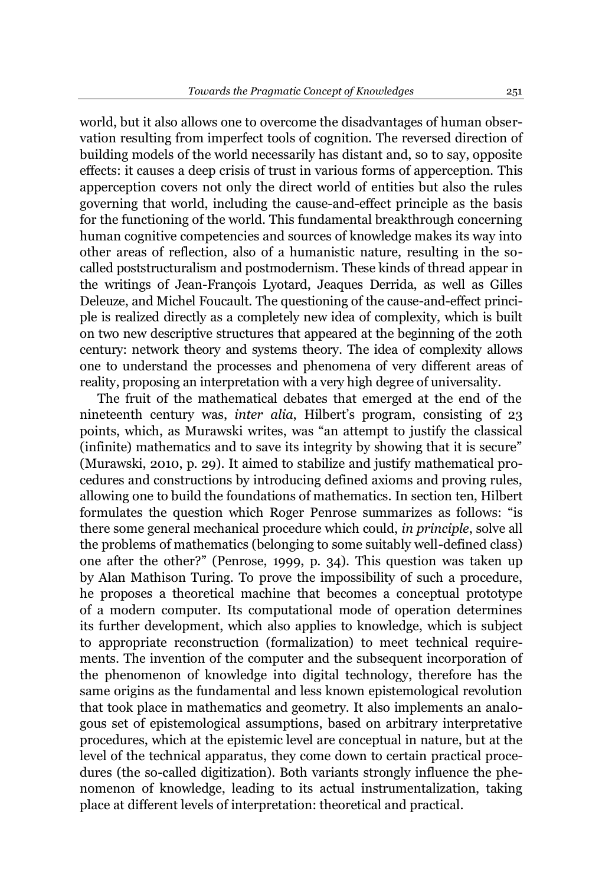world, but it also allows one to overcome the disadvantages of human observation resulting from imperfect tools of cognition. The reversed direction of building models of the world necessarily has distant and, so to say, opposite effects: it causes a deep crisis of trust in various forms of apperception. This apperception covers not only the direct world of entities but also the rules governing that world, including the cause-and-effect principle as the basis for the functioning of the world. This fundamental breakthrough concerning human cognitive competencies and sources of knowledge makes its way into other areas of reflection, also of a humanistic nature, resulting in the socalled poststructuralism and postmodernism. These kinds of thread appear in the writings of Jean-François Lyotard, Jeaques Derrida, as well as Gilles Deleuze, and Michel Foucault. The questioning of the cause-and-effect principle is realized directly as a completely new idea of complexity, which is built on two new descriptive structures that appeared at the beginning of the 20th century: network theory and systems theory. The idea of complexity allows one to understand the processes and phenomena of very different areas of reality, proposing an interpretation with a very high degree of universality.

The fruit of the mathematical debates that emerged at the end of the nineteenth century was, *inter alia*, Hilbert's program, consisting of 23 points, which, as Murawski writes, was "an attempt to justify the classical  $\Delta$  (infinite) mathematics and to save its integrity by showing that it is secure" (Murawski, 2010, p. 29). It aimed to stabilize and justify mathematical procedures and constructions by introducing defined axioms and proving rules, allowing one to build the foundations of mathematics. In section ten, Hilbert formulates the question which Roger Penrose summarizes as follows: "is there some general mechanical procedure which could, *in principle*, solve all the problems of mathematics (belonging to some suitably well-defined class) one after the other?" (Penrose, 1999, p. 34). This question was taken up by Alan Mathison Turing. To prove the impossibility of such a procedure, he proposes a theoretical machine that becomes a conceptual prototype of a modern computer. Its computational mode of operation determines its further development, which also applies to knowledge, which is subject to appropriate reconstruction (formalization) to meet technical requirements. The invention of the computer and the subsequent incorporation of the phenomenon of knowledge into digital technology, therefore has the same origins as the fundamental and less known epistemological revolution that took place in mathematics and geometry. It also implements an analogous set of epistemological assumptions, based on arbitrary interpretative procedures, which at the epistemic level are conceptual in nature, but at the level of the technical apparatus, they come down to certain practical procedures (the so-called digitization). Both variants strongly influence the phenomenon of knowledge, leading to its actual instrumentalization, taking place at different levels of interpretation: theoretical and practical.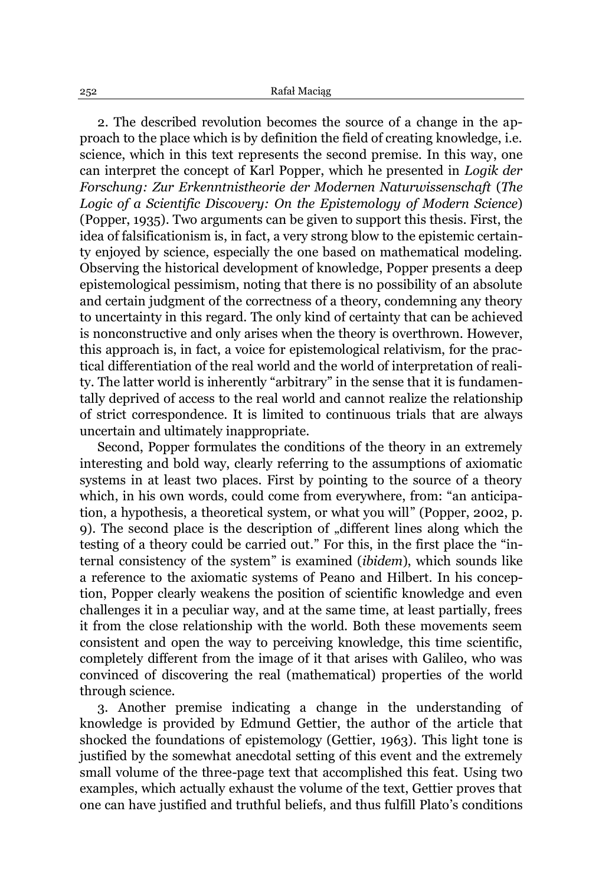2. The described revolution becomes the source of a change in the approach to the place which is by definition the field of creating knowledge, i.e. science, which in this text represents the second premise. In this way, one can interpret the concept of Karl Popper, which he presented in *Logik der Forschung: Zur Erkenntnistheorie der Modernen Naturwissenschaft* (*The Logic of a Scientific Discovery: On the Epistemology of Modern Science*) (Popper, 1935). Two arguments can be given to support this thesis. First, the idea of falsificationism is, in fact, a very strong blow to the epistemic certainty enjoyed by science, especially the one based on mathematical modeling. Observing the historical development of knowledge, Popper presents a deep epistemological pessimism, noting that there is no possibility of an absolute and certain judgment of the correctness of a theory, condemning any theory to uncertainty in this regard. The only kind of certainty that can be achieved is nonconstructive and only arises when the theory is overthrown. However, this approach is, in fact, a voice for epistemological relativism, for the practical differentiation of the real world and the world of interpretation of reality. The latter world is inherently "arbitrary" in the sense that it is fundamentally deprived of access to the real world and cannot realize the relationship of strict correspondence. It is limited to continuous trials that are always uncertain and ultimately inappropriate.

Second, Popper formulates the conditions of the theory in an extremely interesting and bold way, clearly referring to the assumptions of axiomatic systems in at least two places. First by pointing to the source of a theory which, in his own words, could come from everywhere, from: "an anticipation, a hypothesis, a theoretical system, or what you will" (Popper, 2002, p. 9). The second place is the description of "different lines along which the testing of a theory could be carried out." For this, in the first place the "internal consistency of the system´ is examined (*ibidem*), which sounds like a reference to the axiomatic systems of Peano and Hilbert. In his conception, Popper clearly weakens the position of scientific knowledge and even challenges it in a peculiar way, and at the same time, at least partially, frees it from the close relationship with the world. Both these movements seem consistent and open the way to perceiving knowledge, this time scientific, completely different from the image of it that arises with Galileo, who was convinced of discovering the real (mathematical) properties of the world through science.

3. Another premise indicating a change in the understanding of knowledge is provided by Edmund Gettier, the author of the article that shocked the foundations of epistemology (Gettier, 1963). This light tone is justified by the somewhat anecdotal setting of this event and the extremely small volume of the three-page text that accomplished this feat. Using two examples, which actually exhaust the volume of the text, Gettier proves that one can have justified and truthful beliefs, and thus fulfill Plato's conditions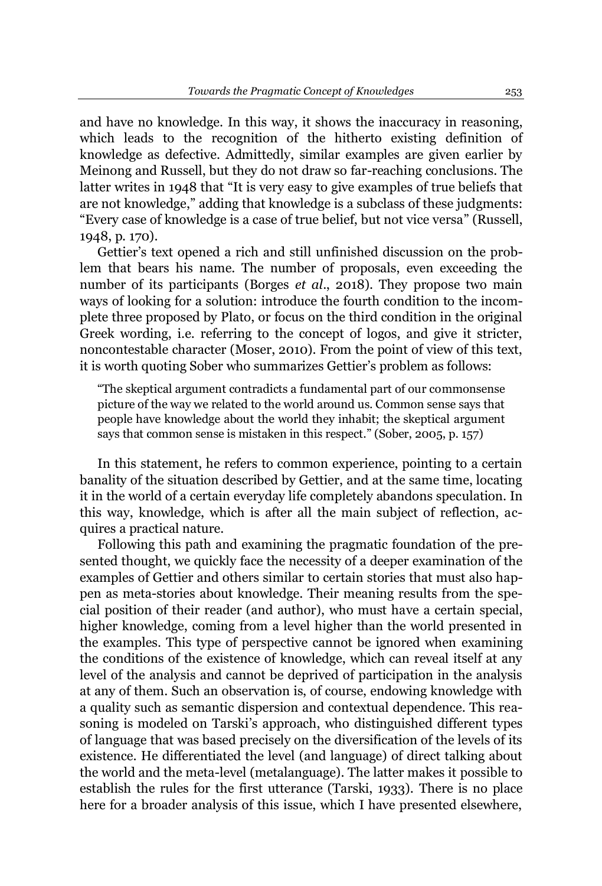and have no knowledge. In this way, it shows the inaccuracy in reasoning, which leads to the recognition of the hitherto existing definition of knowledge as defective. Admittedly, similar examples are given earlier by Meinong and Russell, but they do not draw so far-reaching conclusions. The latter writes in 1948 that "It is very easy to give examples of true beliefs that are not knowledge," adding that knowledge is a subclass of these judgments: "Every case of knowledge is a case of true belief, but not vice versa" (Russell, 1948, p. 170).

Gettier's text opened a rich and still unfinished discussion on the problem that bears his name. The number of proposals, even exceeding the number of its participants (Borges *et al*., 2018). They propose two main ways of looking for a solution: introduce the fourth condition to the incomplete three proposed by Plato, or focus on the third condition in the original Greek wording, i.e. referring to the concept of logos, and give it stricter, noncontestable character (Moser, 2010). From the point of view of this text, it is worth quoting Sober who summarizes Gettier's problem as follows:

³The skeptical argument contradicts a fundamental part of our commonsense picture of the way we related to the world around us. Common sense says that people have knowledge about the world they inhabit; the skeptical argument says that common sense is mistaken in this respect." (Sober, 2005, p.  $157$ )

In this statement, he refers to common experience, pointing to a certain banality of the situation described by Gettier, and at the same time, locating it in the world of a certain everyday life completely abandons speculation. In this way, knowledge, which is after all the main subject of reflection, acquires a practical nature.

Following this path and examining the pragmatic foundation of the presented thought, we quickly face the necessity of a deeper examination of the examples of Gettier and others similar to certain stories that must also happen as meta-stories about knowledge. Their meaning results from the special position of their reader (and author), who must have a certain special, higher knowledge, coming from a level higher than the world presented in the examples. This type of perspective cannot be ignored when examining the conditions of the existence of knowledge, which can reveal itself at any level of the analysis and cannot be deprived of participation in the analysis at any of them. Such an observation is, of course, endowing knowledge with a quality such as semantic dispersion and contextual dependence. This reasoning is modeled on Tarski's approach, who distinguished different types of language that was based precisely on the diversification of the levels of its existence. He differentiated the level (and language) of direct talking about the world and the meta-level (metalanguage). The latter makes it possible to establish the rules for the first utterance (Tarski, 1933). There is no place here for a broader analysis of this issue, which I have presented elsewhere,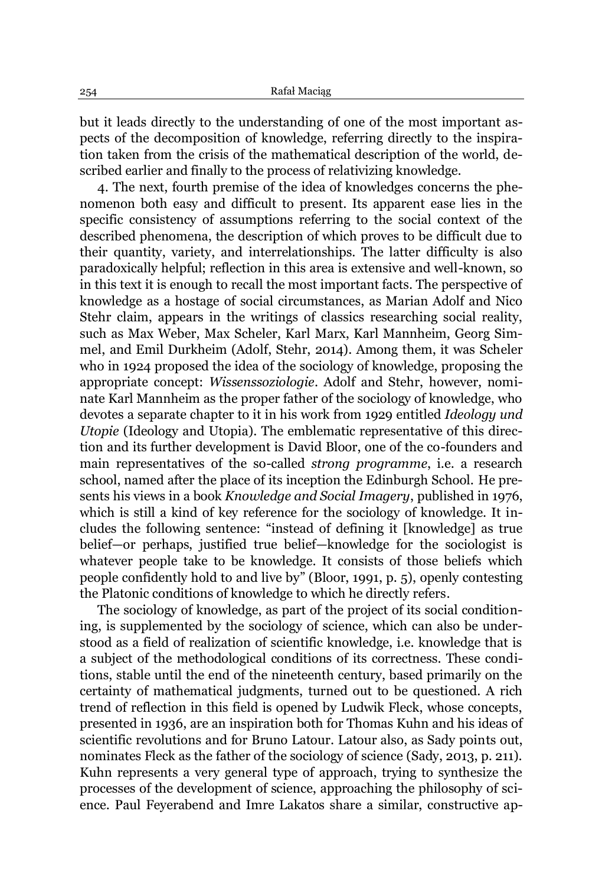but it leads directly to the understanding of one of the most important aspects of the decomposition of knowledge, referring directly to the inspiration taken from the crisis of the mathematical description of the world, described earlier and finally to the process of relativizing knowledge.

4. The next, fourth premise of the idea of knowledges concerns the phenomenon both easy and difficult to present. Its apparent ease lies in the specific consistency of assumptions referring to the social context of the described phenomena, the description of which proves to be difficult due to their quantity, variety, and interrelationships. The latter difficulty is also paradoxically helpful; reflection in this area is extensive and well-known, so in this text it is enough to recall the most important facts. The perspective of knowledge as a hostage of social circumstances, as Marian Adolf and Nico Stehr claim, appears in the writings of classics researching social reality, such as Max Weber, Max Scheler, Karl Marx, Karl Mannheim, Georg Simmel, and Emil Durkheim (Adolf, Stehr, 2014). Among them, it was Scheler who in 1924 proposed the idea of the sociology of knowledge, proposing the appropriate concept: *Wissenssoziologie*. Adolf and Stehr, however, nominate Karl Mannheim as the proper father of the sociology of knowledge, who devotes a separate chapter to it in his work from 1929 entitled *Ideology und Utopie* (Ideology and Utopia). The emblematic representative of this direction and its further development is David Bloor, one of the co-founders and main representatives of the so-called *strong programme*, i.e. a research school, named after the place of its inception the Edinburgh School. He presents his views in a book *Knowledge and Social Imagery*, published in 1976, which is still a kind of key reference for the sociology of knowledge. It includes the following sentence: "instead of defining it [knowledge] as true belief—or perhaps, justified true belief—knowledge for the sociologist is whatever people take to be knowledge. It consists of those beliefs which people confidently hold to and live by´ (Bloor, 1991, p. 5), openly contesting the Platonic conditions of knowledge to which he directly refers.

The sociology of knowledge, as part of the project of its social conditioning, is supplemented by the sociology of science, which can also be understood as a field of realization of scientific knowledge, i.e. knowledge that is a subject of the methodological conditions of its correctness. These conditions, stable until the end of the nineteenth century, based primarily on the certainty of mathematical judgments, turned out to be questioned. A rich trend of reflection in this field is opened by Ludwik Fleck, whose concepts, presented in 1936, are an inspiration both for Thomas Kuhn and his ideas of scientific revolutions and for Bruno Latour. Latour also, as Sady points out, nominates Fleck as the father of the sociology of science (Sady, 2013, p. 211). Kuhn represents a very general type of approach, trying to synthesize the processes of the development of science, approaching the philosophy of science. Paul Feyerabend and Imre Lakatos share a similar, constructive ap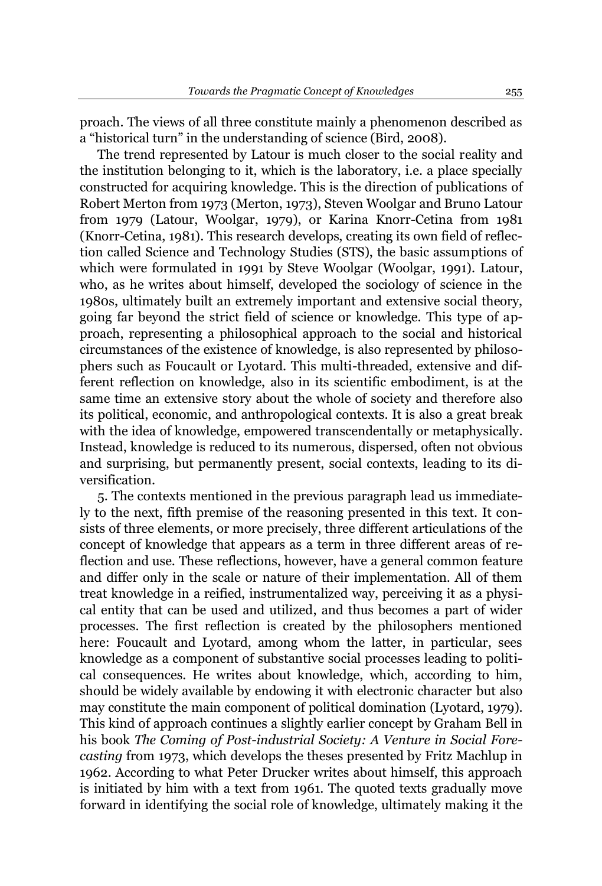proach. The views of all three constitute mainly a phenomenon described as a "historical turn" in the understanding of science (Bird, 2008).

The trend represented by Latour is much closer to the social reality and the institution belonging to it, which is the laboratory, i.e. a place specially constructed for acquiring knowledge. This is the direction of publications of Robert Merton from 1973 (Merton, 1973), Steven Woolgar and Bruno Latour from 1979 (Latour, Woolgar, 1979), or Karina Knorr-Cetina from 1981 (Knorr-Cetina, 1981). This research develops, creating its own field of reflection called Science and Technology Studies (STS), the basic assumptions of which were formulated in 1991 by Steve Woolgar (Woolgar, 1991). Latour, who, as he writes about himself, developed the sociology of science in the 1980s, ultimately built an extremely important and extensive social theory, going far beyond the strict field of science or knowledge. This type of approach, representing a philosophical approach to the social and historical circumstances of the existence of knowledge, is also represented by philosophers such as Foucault or Lyotard. This multi-threaded, extensive and different reflection on knowledge, also in its scientific embodiment, is at the same time an extensive story about the whole of society and therefore also its political, economic, and anthropological contexts. It is also a great break with the idea of knowledge, empowered transcendentally or metaphysically. Instead, knowledge is reduced to its numerous, dispersed, often not obvious and surprising, but permanently present, social contexts, leading to its diversification.

5. The contexts mentioned in the previous paragraph lead us immediately to the next, fifth premise of the reasoning presented in this text. It consists of three elements, or more precisely, three different articulations of the concept of knowledge that appears as a term in three different areas of reflection and use. These reflections, however, have a general common feature and differ only in the scale or nature of their implementation. All of them treat knowledge in a reified, instrumentalized way, perceiving it as a physical entity that can be used and utilized, and thus becomes a part of wider processes. The first reflection is created by the philosophers mentioned here: Foucault and Lyotard, among whom the latter, in particular, sees knowledge as a component of substantive social processes leading to political consequences. He writes about knowledge, which, according to him, should be widely available by endowing it with electronic character but also may constitute the main component of political domination (Lyotard, 1979). This kind of approach continues a slightly earlier concept by Graham Bell in his book *The Coming of Post-industrial Society: A Venture in Social Forecasting* from 1973, which develops the theses presented by Fritz Machlup in 1962. According to what Peter Drucker writes about himself, this approach is initiated by him with a text from 1961. The quoted texts gradually move forward in identifying the social role of knowledge, ultimately making it the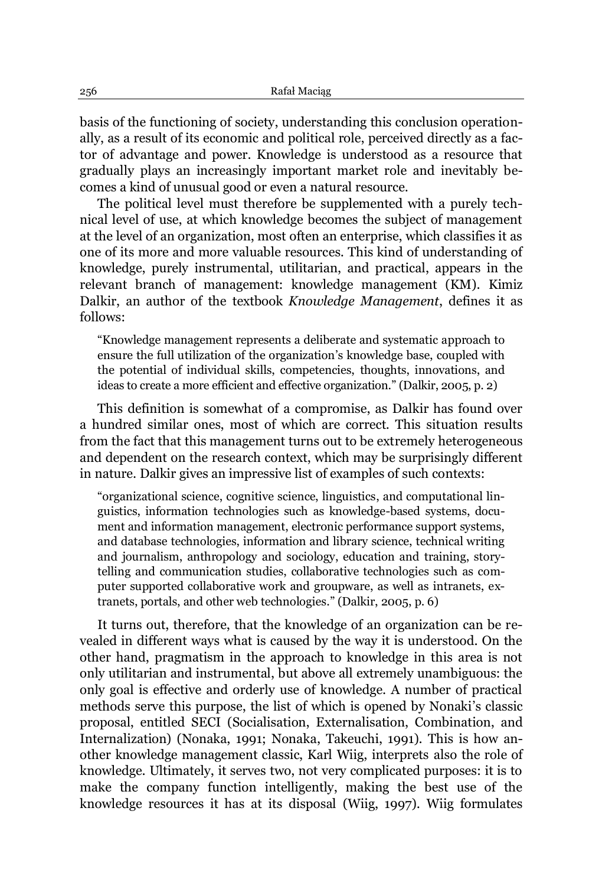basis of the functioning of society, understanding this conclusion operationally, as a result of its economic and political role, perceived directly as a factor of advantage and power. Knowledge is understood as a resource that gradually plays an increasingly important market role and inevitably becomes a kind of unusual good or even a natural resource.

The political level must therefore be supplemented with a purely technical level of use, at which knowledge becomes the subject of management at the level of an organization, most often an enterprise, which classifies it as one of its more and more valuable resources. This kind of understanding of knowledge, purely instrumental, utilitarian, and practical, appears in the relevant branch of management: knowledge management (KM). Kimiz Dalkir, an author of the textbook *Knowledge Management*, defines it as follows:

³Knowledge management represents a deliberate and systematic approach to ensure the full utilization of the organization's knowledge base, coupled with the potential of individual skills, competencies, thoughts, innovations, and ideas to create a more efficient and effective organization." (Dalkir, 2005, p. 2)

This definition is somewhat of a compromise, as Dalkir has found over a hundred similar ones, most of which are correct. This situation results from the fact that this management turns out to be extremely heterogeneous and dependent on the research context, which may be surprisingly different in nature. Dalkir gives an impressive list of examples of such contexts:

"organizational science, cognitive science, linguistics, and computational linguistics, information technologies such as knowledge-based systems, document and information management, electronic performance support systems, and database technologies, information and library science, technical writing and journalism, anthropology and sociology, education and training, storytelling and communication studies, collaborative technologies such as computer supported collaborative work and groupware, as well as intranets, extranets, portals, and other web technologies." (Dalkir, 2005, p. 6)

It turns out, therefore, that the knowledge of an organization can be revealed in different ways what is caused by the way it is understood. On the other hand, pragmatism in the approach to knowledge in this area is not only utilitarian and instrumental, but above all extremely unambiguous: the only goal is effective and orderly use of knowledge. A number of practical methods serve this purpose, the list of which is opened by Nonaki's classic proposal, entitled SECI (Socialisation, Externalisation, Combination, and Internalization) (Nonaka, 1991; Nonaka, Takeuchi, 1991). This is how another knowledge management classic, Karl Wiig, interprets also the role of knowledge. Ultimately, it serves two, not very complicated purposes: it is to make the company function intelligently, making the best use of the knowledge resources it has at its disposal (Wiig, 1997). Wiig formulates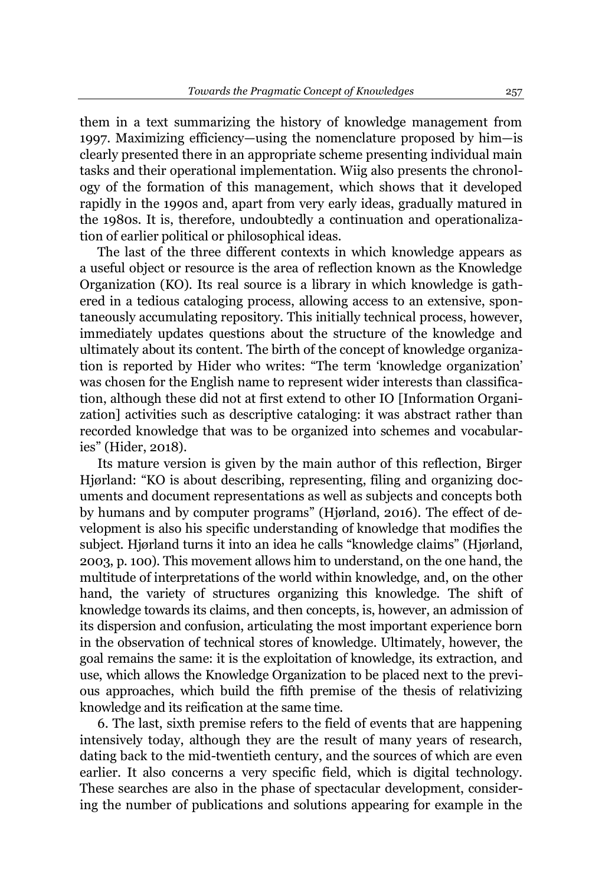them in a text summarizing the history of knowledge management from 1997. Maximizing efficiency—using the nomenclature proposed by  $him—is$ clearly presented there in an appropriate scheme presenting individual main tasks and their operational implementation. Wiig also presents the chronology of the formation of this management, which shows that it developed rapidly in the 1990s and, apart from very early ideas, gradually matured in the 1980s. It is, therefore, undoubtedly a continuation and operationalization of earlier political or philosophical ideas.

The last of the three different contexts in which knowledge appears as a useful object or resource is the area of reflection known as the Knowledge Organization (KO). Its real source is a library in which knowledge is gathered in a tedious cataloging process, allowing access to an extensive, spontaneously accumulating repository. This initially technical process, however, immediately updates questions about the structure of the knowledge and ultimately about its content. The birth of the concept of knowledge organization is reported by Hider who writes: "The term 'knowledge organization' was chosen for the English name to represent wider interests than classification, although these did not at first extend to other IO [Information Organization] activities such as descriptive cataloging: it was abstract rather than recorded knowledge that was to be organized into schemes and vocabularies" (Hider, 2018).

Its mature version is given by the main author of this reflection, Birger Hjørland: "KO is about describing, representing, filing and organizing documents and document representations as well as subjects and concepts both by humans and by computer programs" (Higrland, 2016). The effect of development is also his specific understanding of knowledge that modifies the subject. Hjørland turns it into an idea he calls "knowledge claims" (Hjørland, 2003, p. 100). This movement allows him to understand, on the one hand, the multitude of interpretations of the world within knowledge, and, on the other hand, the variety of structures organizing this knowledge. The shift of knowledge towards its claims, and then concepts, is, however, an admission of its dispersion and confusion, articulating the most important experience born in the observation of technical stores of knowledge. Ultimately, however, the goal remains the same: it is the exploitation of knowledge, its extraction, and use, which allows the Knowledge Organization to be placed next to the previous approaches, which build the fifth premise of the thesis of relativizing knowledge and its reification at the same time.

6. The last, sixth premise refers to the field of events that are happening intensively today, although they are the result of many years of research, dating back to the mid-twentieth century, and the sources of which are even earlier. It also concerns a very specific field, which is digital technology. These searches are also in the phase of spectacular development, considering the number of publications and solutions appearing for example in the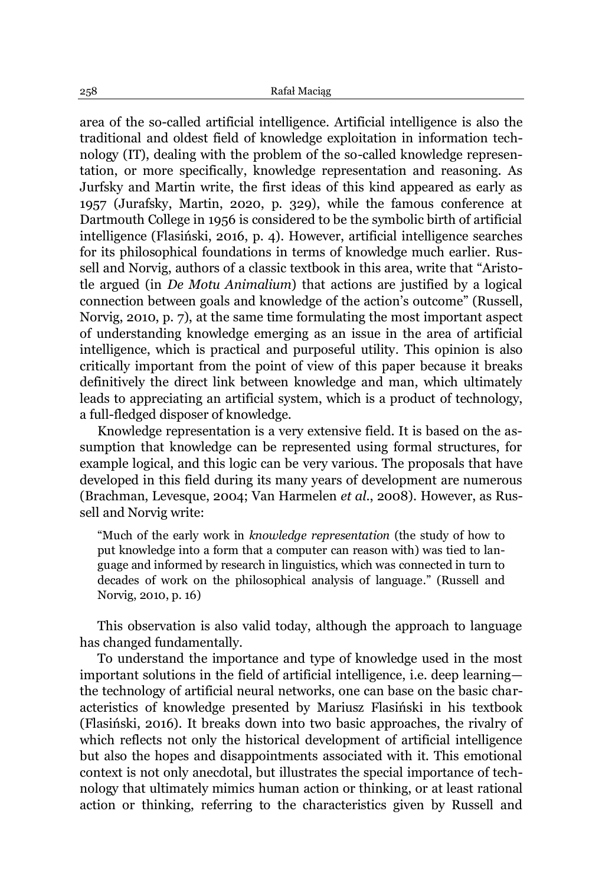area of the so-called artificial intelligence. Artificial intelligence is also the traditional and oldest field of knowledge exploitation in information technology (IT), dealing with the problem of the so-called knowledge representation, or more specifically, knowledge representation and reasoning. As Jurfsky and Martin write, the first ideas of this kind appeared as early as 1957 (Jurafsky, Martin, 2020, p. 329), while the famous conference at Dartmouth College in 1956 is considered to be the symbolic birth of artificial intelligence (Flasiński, 2016, p. 4). However, artificial intelligence searches for its philosophical foundations in terms of knowledge much earlier. Russell and Norvig, authors of a classic textbook in this area, write that "Aristotle argued (in *De Motu Animalium*) that actions are justified by a logical connection between goals and knowledge of the action's outcome" (Russell, Norvig, 2010, p. 7), at the same time formulating the most important aspect of understanding knowledge emerging as an issue in the area of artificial intelligence, which is practical and purposeful utility. This opinion is also critically important from the point of view of this paper because it breaks definitively the direct link between knowledge and man, which ultimately leads to appreciating an artificial system, which is a product of technology, a full-fledged disposer of knowledge.

Knowledge representation is a very extensive field. It is based on the assumption that knowledge can be represented using formal structures, for example logical, and this logic can be very various. The proposals that have developed in this field during its many years of development are numerous (Brachman, Levesque, 2004; Van Harmelen *et al*., 2008). However, as Russell and Norvig write:

³Much of the early work in *knowledge representation* (the study of how to put knowledge into a form that a computer can reason with) was tied to language and informed by research in linguistics, which was connected in turn to decades of work on the philosophical analysis of language." (Russell and Norvig, 2010, p. 16)

This observation is also valid today, although the approach to language has changed fundamentally.

To understand the importance and type of knowledge used in the most important solutions in the field of artificial intelligence, i.e. deep learning the technology of artificial neural networks, one can base on the basic characteristics of knowledge presented by Mariusz Flasiński in his textbook  $(Flasinski, 2016)$ . It breaks down into two basic approaches, the rivalry of which reflects not only the historical development of artificial intelligence but also the hopes and disappointments associated with it. This emotional context is not only anecdotal, but illustrates the special importance of technology that ultimately mimics human action or thinking, or at least rational action or thinking, referring to the characteristics given by Russell and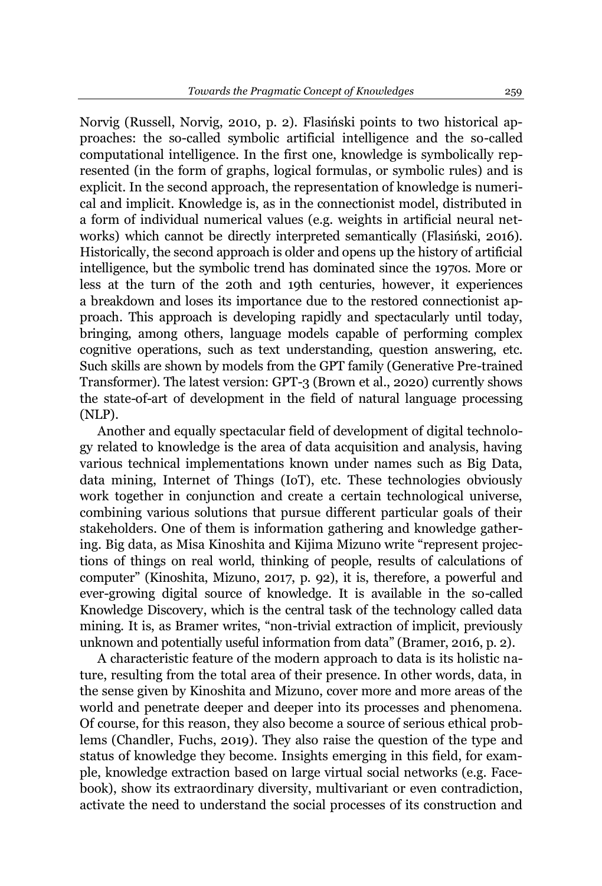Norvig (Russell, Norvig, 2010, p. 2). Flasiński points to two historical approaches: the so-called symbolic artificial intelligence and the so-called computational intelligence. In the first one, knowledge is symbolically represented (in the form of graphs, logical formulas, or symbolic rules) and is explicit. In the second approach, the representation of knowledge is numerical and implicit. Knowledge is, as in the connectionist model, distributed in a form of individual numerical values (e.g. weights in artificial neural networks) which cannot be directly interpreted semantically (Flasiński, 2016). Historically, the second approach is older and opens up the history of artificial intelligence, but the symbolic trend has dominated since the 1970s. More or less at the turn of the 20th and 19th centuries, however, it experiences a breakdown and loses its importance due to the restored connectionist approach. This approach is developing rapidly and spectacularly until today, bringing, among others, language models capable of performing complex cognitive operations, such as text understanding, question answering, etc. Such skills are shown by models from the GPT family (Generative Pre-trained Transformer). The latest version: GPT-3 (Brown et al., 2020) currently shows the state-of-art of development in the field of natural language processing (NLP).

Another and equally spectacular field of development of digital technology related to knowledge is the area of data acquisition and analysis, having various technical implementations known under names such as Big Data, data mining, Internet of Things (IoT), etc. These technologies obviously work together in conjunction and create a certain technological universe, combining various solutions that pursue different particular goals of their stakeholders. One of them is information gathering and knowledge gathering. Big data, as Misa Kinoshita and Kijima Mizuno write "represent projections of things on real world, thinking of people, results of calculations of computer" (Kinoshita, Mizuno, 2017, p. 92), it is, therefore, a powerful and ever-growing digital source of knowledge. It is available in the so-called Knowledge Discovery, which is the central task of the technology called data mining. It is, as Bramer writes, "non-trivial extraction of implicit, previously unknown and potentially useful information from data" (Bramer, 2016, p. 2).

A characteristic feature of the modern approach to data is its holistic nature, resulting from the total area of their presence. In other words, data, in the sense given by Kinoshita and Mizuno, cover more and more areas of the world and penetrate deeper and deeper into its processes and phenomena. Of course, for this reason, they also become a source of serious ethical problems (Chandler, Fuchs, 2019). They also raise the question of the type and status of knowledge they become. Insights emerging in this field, for example, knowledge extraction based on large virtual social networks (e.g. Facebook), show its extraordinary diversity, multivariant or even contradiction, activate the need to understand the social processes of its construction and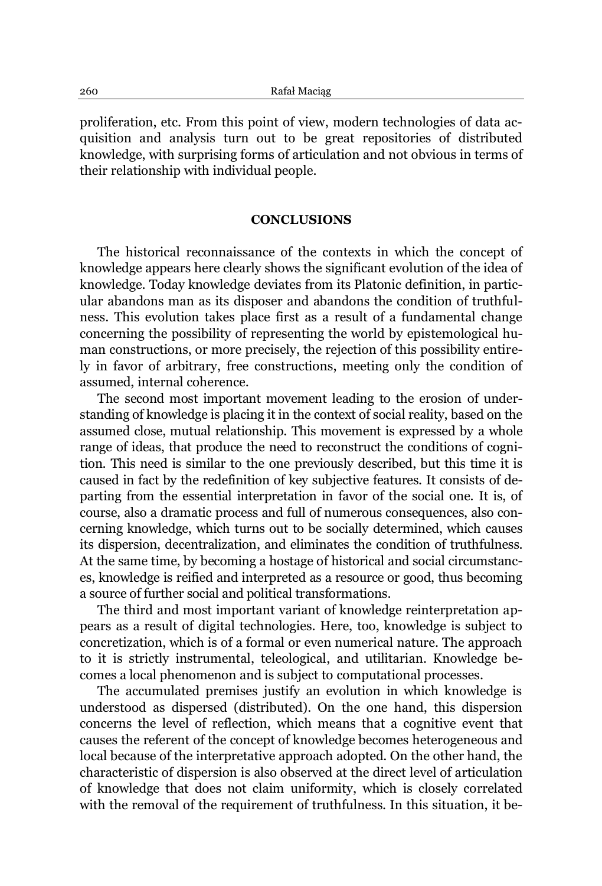proliferation, etc. From this point of view, modern technologies of data acquisition and analysis turn out to be great repositories of distributed knowledge, with surprising forms of articulation and not obvious in terms of their relationship with individual people.

## **CONCLUSIONS**

The historical reconnaissance of the contexts in which the concept of knowledge appears here clearly shows the significant evolution of the idea of knowledge. Today knowledge deviates from its Platonic definition, in particular abandons man as its disposer and abandons the condition of truthfulness. This evolution takes place first as a result of a fundamental change concerning the possibility of representing the world by epistemological human constructions, or more precisely, the rejection of this possibility entirely in favor of arbitrary, free constructions, meeting only the condition of assumed, internal coherence.

The second most important movement leading to the erosion of understanding of knowledge is placing it in the context of social reality, based on the assumed close, mutual relationship. This movement is expressed by a whole range of ideas, that produce the need to reconstruct the conditions of cognition. This need is similar to the one previously described, but this time it is caused in fact by the redefinition of key subjective features. It consists of departing from the essential interpretation in favor of the social one. It is, of course, also a dramatic process and full of numerous consequences, also concerning knowledge, which turns out to be socially determined, which causes its dispersion, decentralization, and eliminates the condition of truthfulness. At the same time, by becoming a hostage of historical and social circumstances, knowledge is reified and interpreted as a resource or good, thus becoming a source of further social and political transformations.

The third and most important variant of knowledge reinterpretation appears as a result of digital technologies. Here, too, knowledge is subject to concretization, which is of a formal or even numerical nature. The approach to it is strictly instrumental, teleological, and utilitarian. Knowledge becomes a local phenomenon and is subject to computational processes.

The accumulated premises justify an evolution in which knowledge is understood as dispersed (distributed). On the one hand, this dispersion concerns the level of reflection, which means that a cognitive event that causes the referent of the concept of knowledge becomes heterogeneous and local because of the interpretative approach adopted. On the other hand, the characteristic of dispersion is also observed at the direct level of articulation of knowledge that does not claim uniformity, which is closely correlated with the removal of the requirement of truthfulness. In this situation, it be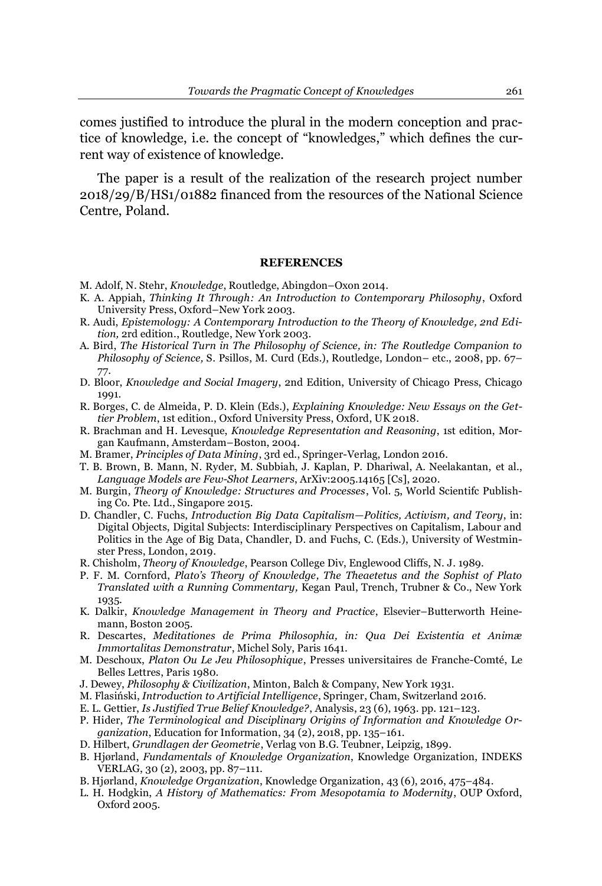comes justified to introduce the plural in the modern conception and practice of knowledge, i.e. the concept of "knowledges," which defines the current way of existence of knowledge.

The paper is a result of the realization of the research project number 2018/29/B/HS1/01882 financed from the resources of the National Science Centre, Poland.

#### **REFERENCES**

- M. Adolf, N. Stehr, *Knowledge*, Routledge, Abingdon-Oxon 2014.
- K. A. Appiah, *Thinking It Through: An Introduction to Contemporary Philosophy*, Oxford University Press, Oxford-New York 2003.
- R. Audi, *Epistemology: A Contemporary Introduction to the Theory of Knowledge, 2nd Edition,* 2rd edition., Routledge, New York 2003.
- A. Bird, *The Historical Turn in The Philosophy of Science, in: The Routledge Companion to Philosophy of Science,* S. Psillos, M. Curd (Eds.), Routledge, London- etc., 2008, pp. 67-77.
- D. Bloor, *Knowledge and Social Imagery*, 2nd Edition, University of Chicago Press, Chicago 1991.
- R. Borges, C. de Almeida, P. D. Klein (Eds.), *Explaining Knowledge: New Essays on the Gettier Problem*, 1st edition., Oxford University Press, Oxford, UK 2018.
- R. Brachman and H. Levesque, *Knowledge Representation and Reasoning*, 1st edition, Morgan Kaufmann, Amsterdam±Boston, 2004.
- M. Bramer, *Principles of Data Mining*, 3rd ed., Springer-Verlag, London 2016.
- T. B. Brown, B. Mann, N. Ryder, M. Subbiah, J. Kaplan, P. Dhariwal, A. Neelakantan, et al., *Language Models are Few-Shot Learners*, ArXiv:2005.14165 [Cs], 2020.
- M. Burgin, *Theory of Knowledge: Structures and Processes*, Vol. 5, World Scientifc Publishing Co. Pte. Ltd., Singapore 2015.
- D. Chandler, C. Fuchs, *Introduction Big Data Capitalism²Politics, Activism, and Teory*, in: Digital Objects, Digital Subjects: Interdisciplinary Perspectives on Capitalism, Labour and Politics in the Age of Big Data, Chandler, D. and Fuchs, C. (Eds.), University of Westminster Press, London, 2019.
- R. Chisholm, *Theory of Knowledge*, Pearson College Div, Englewood Cliffs, N. J. 1989.
- P. F. M. Cornford, *Plato¶s Theory of Knowledge, The Theaetetus and the Sophist of Plato Translated with a Running Commentary,* Kegan Paul, Trench, Trubner & Co., New York 1935.
- K. Dalkir, *Knowledge Management in Theory and Practice*, Elsevier-Butterworth Heinemann, Boston 2005.
- R. Descartes, *Meditationes de Prima Philosophia, in: Qua Dei Existentia et Animæ Immortalitas Demonstratur*, Michel Soly, Paris 1641.
- M. Deschoux, *Platon Ou Le Jeu Philosophique*, Presses universitaires de Franche-Comté, Le Belles Lettres, Paris 1980.
- J. Dewey, *Philosophy & Civilization*, Minton, Balch & Company, New York 1931.
- 0)ODVLĔVNL*Introduction to Artificial Intelligence*, Springer, Cham, Switzerland 2016.
- E. L. Gettier, *Is Justified True Belief Knowledge?*, Analysis, 23 (6), 1963. pp. 121-123.
- P. Hider, *The Terminological and Disciplinary Origins of Information and Knowledge Organization*, Education for Information, 34 (2), 2018, pp. 135–161.
- D. Hilbert, *Grundlagen der Geometrie*, Verlag von B.G. Teubner, Leipzig, 1899.
- B. Hjørland, Fundamentals of Knowledge Organization, Knowledge Organization, INDEKS VERLAG, 30 (2), 2003, pp. 87-111.
- B. Hjørland, *Knowledge Organization*, Knowledge Organization, 43 (6), 2016, 475–484.
- L. H. Hodgkin, *A History of Mathematics: From Mesopotamia to Modernity*, OUP Oxford, Oxford 2005.